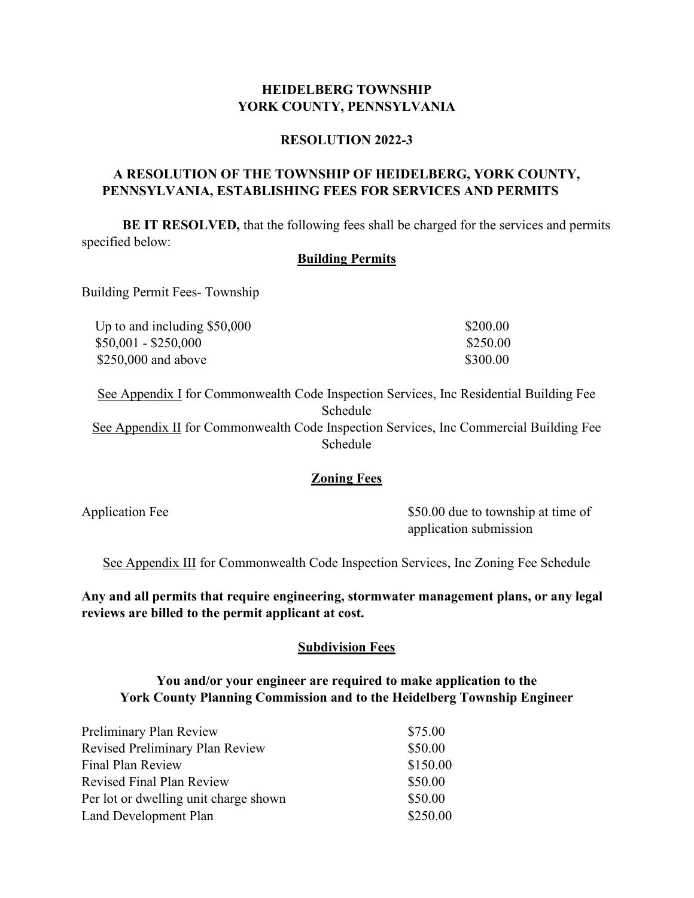# HEIDELBERG TOWNSHIP<br>RK COUNTY, PENNSYLVANIA<br>RESOLUTION 2022-3 HEIDELBERG TOWNSHIP<br>YORK COUNTY, PENNSYLVANIA<br>RESOLUTION 2022-3<br>THE TOWNSHIP OF HEIDELBERG, YORK COUNTY,

## RESOLUTION 2022-3

# A RESOLUTION OF THE TOWNSHIP OF HEIDELBERG, YORK COUNTY, PENNSYLVANIA, ESTABLISHING FEES FOR SERVICES AND PERMITS

BE IT RESOLVED, that the following fees shall be charged for the services and permits specified below:

### Building Permits

Building Permit Fees- Township

| Up to and including $$50,000$ | \$200.00 |
|-------------------------------|----------|
| $$50,001 - $250,000$          | \$250.00 |
| $$250,000$ and above          | \$300.00 |

See Appendix I for Commonwealth Code Inspection Services, Inc Residential Building Fee Schedule See Appendix II for Commonwealth Code Inspection Services, Inc Commercial Building Fee Schedule

# **Zoning Fees**

Application Fee  $$50.00$  due to township at time of application submission

See Appendix III for Commonwealth Code Inspection Services, Inc Zoning Fee Schedule

Any and all permits that require engineering, stormwater management plans, or any legal reviews are billed to the permit applicant at cost.

# **Subdivision Fees**

# You and/or your engineer are required to make application to the York County Planning Commission and to the Heidelberg Township Engineer

| Preliminary Plan Review               | \$75.00  |
|---------------------------------------|----------|
| Revised Preliminary Plan Review       | \$50.00  |
| Final Plan Review                     | \$150.00 |
| <b>Revised Final Plan Review</b>      | \$50.00  |
| Per lot or dwelling unit charge shown | \$50.00  |
| Land Development Plan                 | \$250.00 |